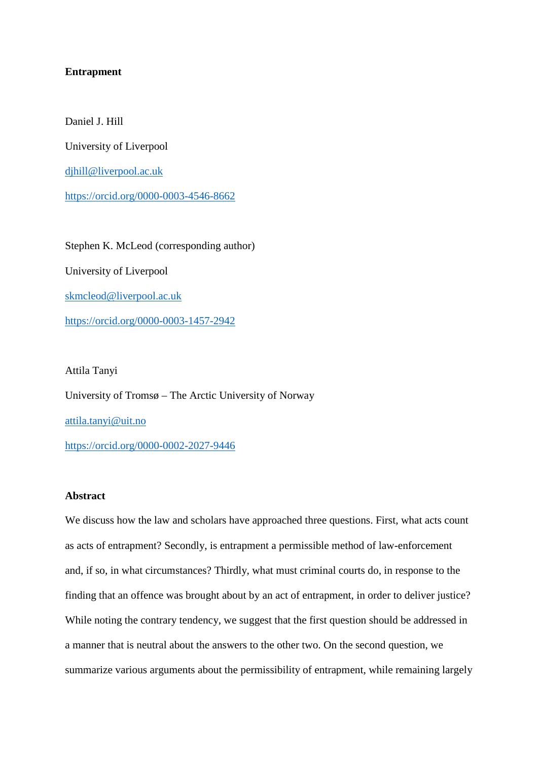### **Entrapment**

Daniel J. Hill

University of Liverpool

[djhill@liverpool.ac.uk](mailto:djhill@liverpool.ac.uk)

<https://orcid.org/0000-0003-4546-8662>

Stephen K. McLeod (corresponding author) University of Liverpool [skmcleod@liverpool.ac.uk](mailto:skmcleod@liverpool.ac.uk) <https://orcid.org/0000-0003-1457-2942>

Attila Tanyi

University of Tromsø – The Arctic University of Norway [attila.tanyi@uit.no](mailto:attila.tanyi@uit.no) <https://orcid.org/0000-0002-2027-9446>

### **Abstract**

We discuss how the law and scholars have approached three questions. First, what acts count as acts of entrapment? Secondly, is entrapment a permissible method of law-enforcement and, if so, in what circumstances? Thirdly, what must criminal courts do, in response to the finding that an offence was brought about by an act of entrapment, in order to deliver justice? While noting the contrary tendency, we suggest that the first question should be addressed in a manner that is neutral about the answers to the other two. On the second question, we summarize various arguments about the permissibility of entrapment, while remaining largely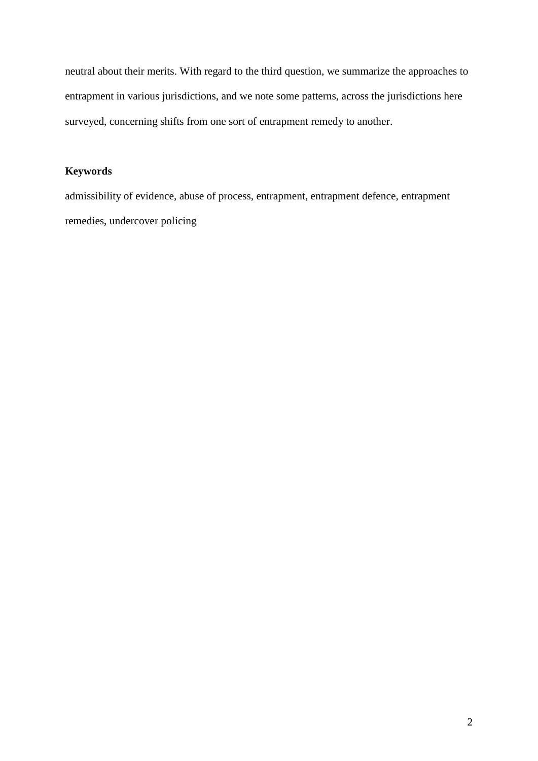neutral about their merits. With regard to the third question, we summarize the approaches to entrapment in various jurisdictions, and we note some patterns, across the jurisdictions here surveyed, concerning shifts from one sort of entrapment remedy to another.

# **Keywords**

admissibility of evidence, abuse of process, entrapment, entrapment defence, entrapment remedies, undercover policing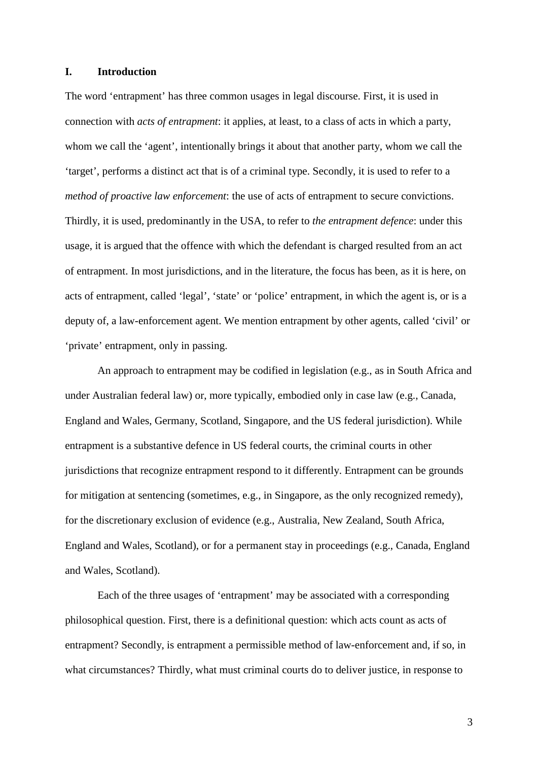#### **I. Introduction**

The word 'entrapment' has three common usages in legal discourse. First, it is used in connection with *acts of entrapment*: it applies, at least, to a class of acts in which a party, whom we call the 'agent', intentionally brings it about that another party, whom we call the 'target', performs a distinct act that is of a criminal type. Secondly, it is used to refer to a *method of proactive law enforcement*: the use of acts of entrapment to secure convictions. Thirdly, it is used, predominantly in the USA, to refer to *the entrapment defence*: under this usage, it is argued that the offence with which the defendant is charged resulted from an act of entrapment. In most jurisdictions, and in the literature, the focus has been, as it is here, on acts of entrapment, called 'legal', 'state' or 'police' entrapment, in which the agent is, or is a deputy of, a law-enforcement agent. We mention entrapment by other agents, called 'civil' or 'private' entrapment, only in passing.

An approach to entrapment may be codified in legislation (e.g., as in South Africa and under Australian federal law) or, more typically, embodied only in case law (e.g., Canada, England and Wales, Germany, Scotland, Singapore, and the US federal jurisdiction). While entrapment is a substantive defence in US federal courts, the criminal courts in other jurisdictions that recognize entrapment respond to it differently. Entrapment can be grounds for mitigation at sentencing (sometimes, e.g., in Singapore, as the only recognized remedy), for the discretionary exclusion of evidence (e.g., Australia, New Zealand, South Africa, England and Wales, Scotland), or for a permanent stay in proceedings (e.g., Canada, England and Wales, Scotland).

Each of the three usages of 'entrapment' may be associated with a corresponding philosophical question. First, there is a definitional question: which acts count as acts of entrapment? Secondly, is entrapment a permissible method of law-enforcement and, if so, in what circumstances? Thirdly, what must criminal courts do to deliver justice, in response to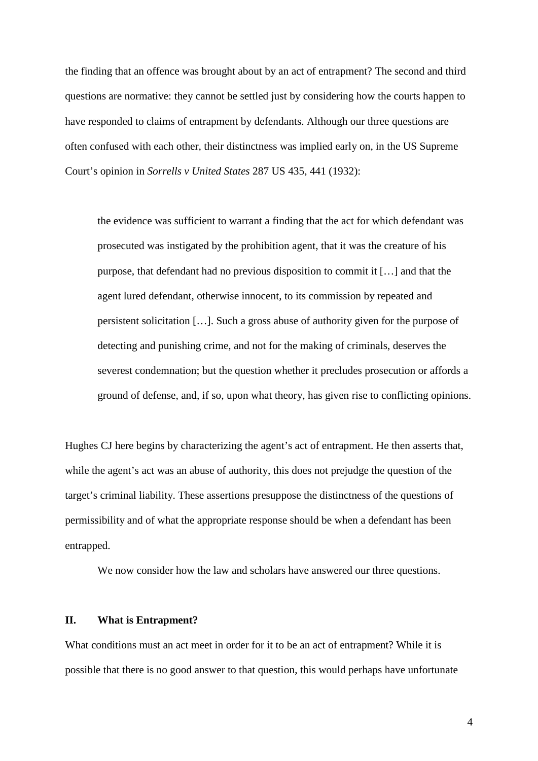the finding that an offence was brought about by an act of entrapment? The second and third questions are normative: they cannot be settled just by considering how the courts happen to have responded to claims of entrapment by defendants. Although our three questions are often confused with each other, their distinctness was implied early on, in the US Supreme Court's opinion in *Sorrells v United States* 287 US 435, 441 (1932):

the evidence was sufficient to warrant a finding that the act for which defendant was prosecuted was instigated by the prohibition agent, that it was the creature of his purpose, that defendant had no previous disposition to commit it […] and that the agent lured defendant, otherwise innocent, to its commission by repeated and persistent solicitation […]. Such a gross abuse of authority given for the purpose of detecting and punishing crime, and not for the making of criminals, deserves the severest condemnation; but the question whether it precludes prosecution or affords a ground of defense, and, if so, upon what theory, has given rise to conflicting opinions.

Hughes CJ here begins by characterizing the agent's act of entrapment. He then asserts that, while the agent's act was an abuse of authority, this does not prejudge the question of the target's criminal liability. These assertions presuppose the distinctness of the questions of permissibility and of what the appropriate response should be when a defendant has been entrapped.

We now consider how the law and scholars have answered our three questions.

## **II. What is Entrapment?**

What conditions must an act meet in order for it to be an act of entrapment? While it is possible that there is no good answer to that question, this would perhaps have unfortunate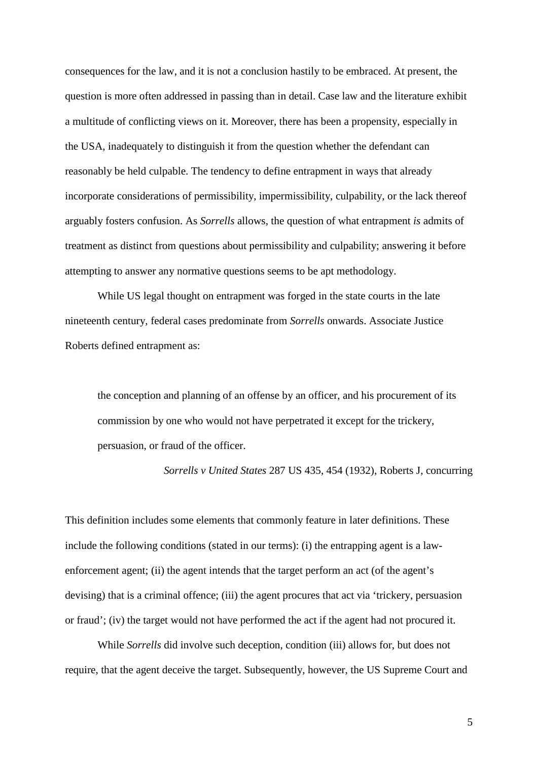consequences for the law, and it is not a conclusion hastily to be embraced. At present, the question is more often addressed in passing than in detail. Case law and the literature exhibit a multitude of conflicting views on it. Moreover, there has been a propensity, especially in the USA, inadequately to distinguish it from the question whether the defendant can reasonably be held culpable. The tendency to define entrapment in ways that already incorporate considerations of permissibility, impermissibility, culpability, or the lack thereof arguably fosters confusion. As *Sorrells* allows, the question of what entrapment *is* admits of treatment as distinct from questions about permissibility and culpability; answering it before attempting to answer any normative questions seems to be apt methodology.

While US legal thought on entrapment was forged in the state courts in the late nineteenth century, federal cases predominate from *Sorrells* onwards. Associate Justice Roberts defined entrapment as:

the conception and planning of an offense by an officer, and his procurement of its commission by one who would not have perpetrated it except for the trickery, persuasion, or fraud of the officer.

*Sorrells v United States* 287 US 435, 454 (1932), Roberts J, concurring

This definition includes some elements that commonly feature in later definitions. These include the following conditions (stated in our terms): (i) the entrapping agent is a lawenforcement agent; (ii) the agent intends that the target perform an act (of the agent's devising) that is a criminal offence; (iii) the agent procures that act via 'trickery, persuasion or fraud'; (iv) the target would not have performed the act if the agent had not procured it.

While *Sorrells* did involve such deception, condition (iii) allows for, but does not require, that the agent deceive the target. Subsequently, however, the US Supreme Court and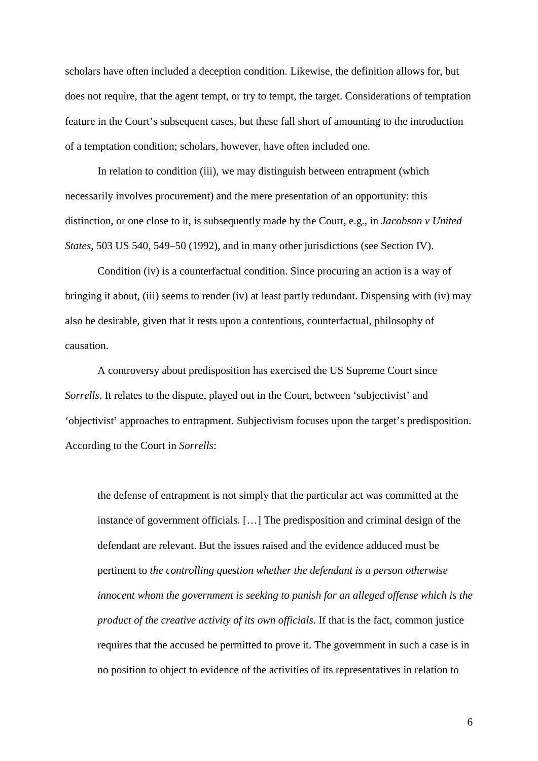scholars have often included a deception condition. Likewise, the definition allows for, but does not require, that the agent tempt, or try to tempt, the target. Considerations of temptation feature in the Court's subsequent cases, but these fall short of amounting to the introduction of a temptation condition; scholars, however, have often included one.

In relation to condition (iii), we may distinguish between entrapment (which necessarily involves procurement) and the mere presentation of an opportunity: this distinction, or one close to it, is subsequently made by the Court, e.g., in *Jacobson v United States*, 503 US 540, 549–50 (1992), and in many other jurisdictions (see Section IV).

Condition (iv) is a counterfactual condition. Since procuring an action is a way of bringing it about, (iii) seems to render (iv) at least partly redundant. Dispensing with (iv) may also be desirable, given that it rests upon a contentious, counterfactual, philosophy of causation.

A controversy about predisposition has exercised the US Supreme Court since *Sorrells*. It relates to the dispute, played out in the Court, between 'subjectivist' and 'objectivist' approaches to entrapment. Subjectivism focuses upon the target's predisposition. According to the Court in *Sorrells*:

the defense of entrapment is not simply that the particular act was committed at the instance of government officials. […] The predisposition and criminal design of the defendant are relevant. But the issues raised and the evidence adduced must be pertinent to *the controlling question whether the defendant is a person otherwise innocent whom the government is seeking to punish for an alleged offense which is the product of the creative activity of its own officials*. If that is the fact, common justice requires that the accused be permitted to prove it. The government in such a case is in no position to object to evidence of the activities of its representatives in relation to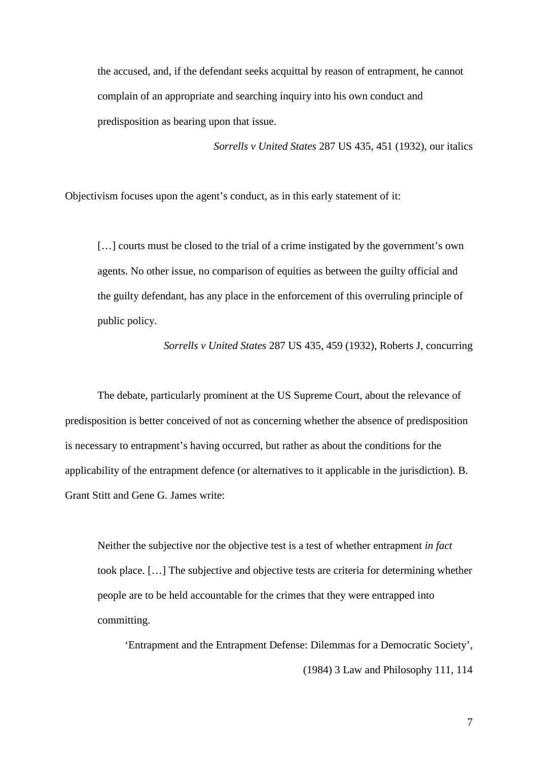the accused, and, if the defendant seeks acquittal by reason of entrapment, he cannot complain of an appropriate and searching inquiry into his own conduct and predisposition as bearing upon that issue.

*Sorrells v United States* 287 US 435, 451 (1932), our italics

Objectivism focuses upon the agent's conduct, as in this early statement of it:

[...] courts must be closed to the trial of a crime instigated by the government's own agents. No other issue, no comparison of equities as between the guilty official and the guilty defendant, has any place in the enforcement of this overruling principle of public policy.

*Sorrells v United States* 287 US 435, 459 (1932), Roberts J, concurring

The debate, particularly prominent at the US Supreme Court, about the relevance of predisposition is better conceived of not as concerning whether the absence of predisposition is necessary to entrapment's having occurred, but rather as about the conditions for the applicability of the entrapment defence (or alternatives to it applicable in the jurisdiction). B. Grant Stitt and Gene G. James write:

Neither the subjective nor the objective test is a test of whether entrapment *in fact*  took place. […] The subjective and objective tests are criteria for determining whether people are to be held accountable for the crimes that they were entrapped into committing.

'Entrapment and the Entrapment Defense: Dilemmas for a Democratic Society', (1984) 3 Law and Philosophy 111, 114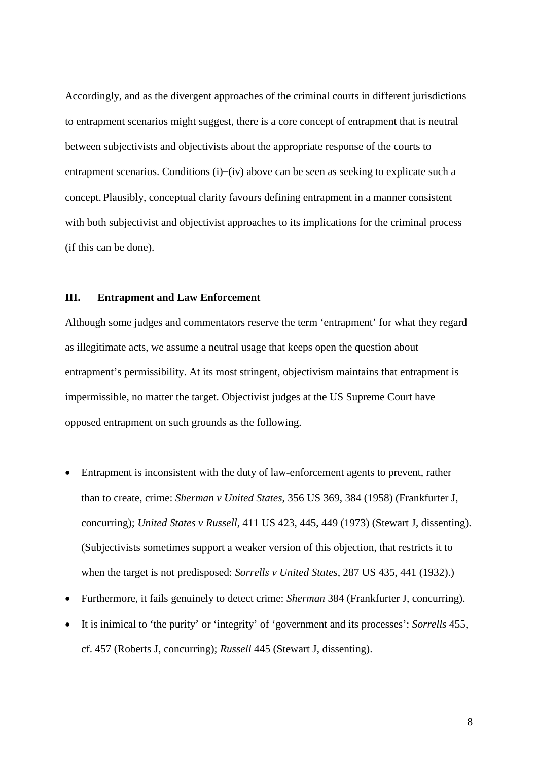Accordingly, and as the divergent approaches of the criminal courts in different jurisdictions to entrapment scenarios might suggest, there is a core concept of entrapment that is neutral between subjectivists and objectivists about the appropriate response of the courts to entrapment scenarios. Conditions (i)–(iv) above can be seen as seeking to explicate such a concept. Plausibly, conceptual clarity favours defining entrapment in a manner consistent with both subjectivist and objectivist approaches to its implications for the criminal process (if this can be done).

#### **III. Entrapment and Law Enforcement**

Although some judges and commentators reserve the term 'entrapment' for what they regard as illegitimate acts, we assume a neutral usage that keeps open the question about entrapment's permissibility. At its most stringent, objectivism maintains that entrapment is impermissible, no matter the target. Objectivist judges at the US Supreme Court have opposed entrapment on such grounds as the following.

- Entrapment is inconsistent with the duty of law-enforcement agents to prevent, rather than to create, crime: *Sherman v United States*, 356 US 369, 384 (1958) (Frankfurter J, concurring); *United States v Russell*, 411 US 423, 445, 449 (1973) (Stewart J, dissenting). (Subjectivists sometimes support a weaker version of this objection, that restricts it to when the target is not predisposed: *Sorrells v United States*, 287 US 435, 441 (1932).)
- Furthermore, it fails genuinely to detect crime: *Sherman* 384 (Frankfurter J, concurring).
- It is inimical to 'the purity' or 'integrity' of 'government and its processes': *Sorrells* 455, cf. 457 (Roberts J, concurring); *Russell* 445 (Stewart J, dissenting).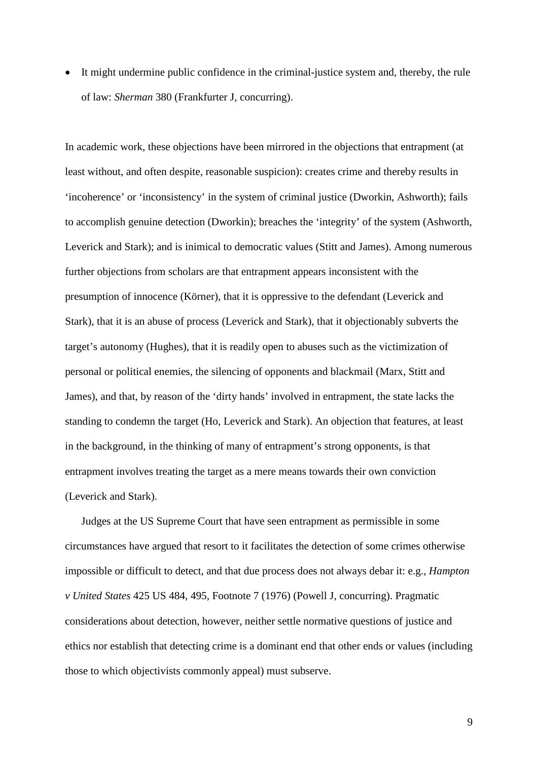• It might undermine public confidence in the criminal-justice system and, thereby, the rule of law: *Sherman* 380 (Frankfurter J, concurring).

In academic work, these objections have been mirrored in the objections that entrapment (at least without, and often despite, reasonable suspicion): creates crime and thereby results in 'incoherence' or 'inconsistency' in the system of criminal justice (Dworkin, Ashworth); fails to accomplish genuine detection (Dworkin); breaches the 'integrity' of the system (Ashworth, Leverick and Stark); and is inimical to democratic values (Stitt and James). Among numerous further objections from scholars are that entrapment appears inconsistent with the presumption of innocence (Körner), that it is oppressive to the defendant (Leverick and Stark), that it is an abuse of process (Leverick and Stark), that it objectionably subverts the target's autonomy (Hughes), that it is readily open to abuses such as the victimization of personal or political enemies, the silencing of opponents and blackmail (Marx, Stitt and James), and that, by reason of the 'dirty hands' involved in entrapment, the state lacks the standing to condemn the target (Ho, Leverick and Stark). An objection that features, at least in the background, in the thinking of many of entrapment's strong opponents, is that entrapment involves treating the target as a mere means towards their own conviction (Leverick and Stark).

Judges at the US Supreme Court that have seen entrapment as permissible in some circumstances have argued that resort to it facilitates the detection of some crimes otherwise impossible or difficult to detect, and that due process does not always debar it: e.g., *Hampton v United States* 425 US 484, 495, Footnote 7 (1976) (Powell J, concurring). Pragmatic considerations about detection, however, neither settle normative questions of justice and ethics nor establish that detecting crime is a dominant end that other ends or values (including those to which objectivists commonly appeal) must subserve.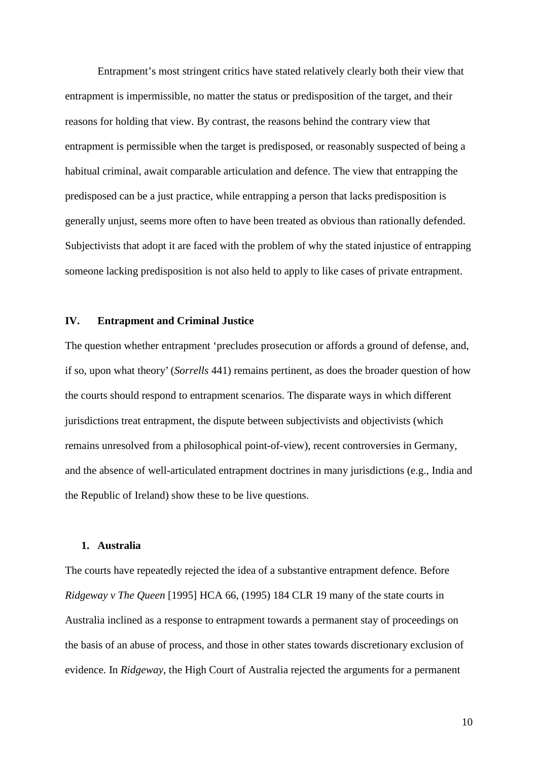Entrapment's most stringent critics have stated relatively clearly both their view that entrapment is impermissible, no matter the status or predisposition of the target, and their reasons for holding that view. By contrast, the reasons behind the contrary view that entrapment is permissible when the target is predisposed, or reasonably suspected of being a habitual criminal, await comparable articulation and defence. The view that entrapping the predisposed can be a just practice, while entrapping a person that lacks predisposition is generally unjust, seems more often to have been treated as obvious than rationally defended. Subjectivists that adopt it are faced with the problem of why the stated injustice of entrapping someone lacking predisposition is not also held to apply to like cases of private entrapment.

### **IV. Entrapment and Criminal Justice**

The question whether entrapment 'precludes prosecution or affords a ground of defense, and, if so, upon what theory' (*Sorrells* 441) remains pertinent, as does the broader question of how the courts should respond to entrapment scenarios. The disparate ways in which different jurisdictions treat entrapment, the dispute between subjectivists and objectivists (which remains unresolved from a philosophical point-of-view), recent controversies in Germany, and the absence of well-articulated entrapment doctrines in many jurisdictions (e.g., India and the Republic of Ireland) show these to be live questions.

#### **1. Australia**

The courts have repeatedly rejected the idea of a substantive entrapment defence. Before *Ridgeway v The Queen* [1995] HCA 66, (1995) 184 CLR 19 many of the state courts in Australia inclined as a response to entrapment towards a permanent stay of proceedings on the basis of an abuse of process, and those in other states towards discretionary exclusion of evidence. In *Ridgeway*, the High Court of Australia rejected the arguments for a permanent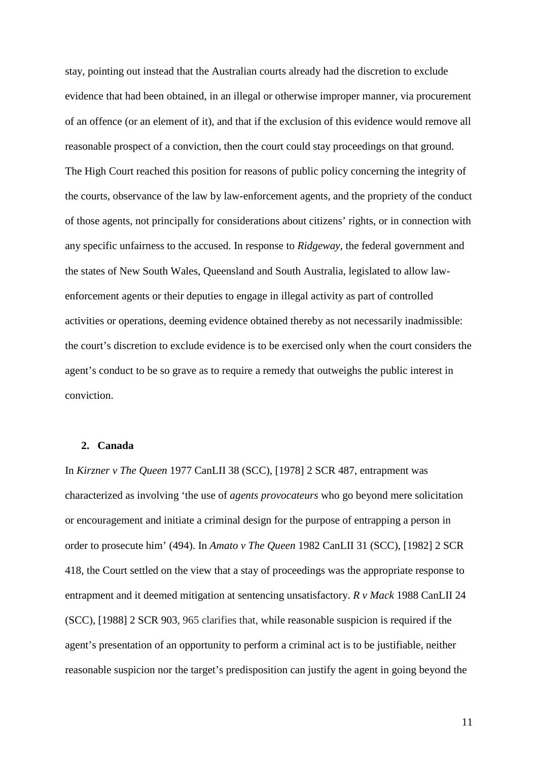stay, pointing out instead that the Australian courts already had the discretion to exclude evidence that had been obtained, in an illegal or otherwise improper manner, via procurement of an offence (or an element of it), and that if the exclusion of this evidence would remove all reasonable prospect of a conviction, then the court could stay proceedings on that ground. The High Court reached this position for reasons of public policy concerning the integrity of the courts, observance of the law by law-enforcement agents, and the propriety of the conduct of those agents, not principally for considerations about citizens' rights, or in connection with any specific unfairness to the accused. In response to *Ridgeway*, the federal government and the states of New South Wales, Queensland and South Australia, legislated to allow lawenforcement agents or their deputies to engage in illegal activity as part of controlled activities or operations, deeming evidence obtained thereby as not necessarily inadmissible: the court's discretion to exclude evidence is to be exercised only when the court considers the agent's conduct to be so grave as to require a remedy that outweighs the public interest in conviction.

#### **2. Canada**

In *Kirzner v The Queen* 1977 CanLII 38 (SCC), [1978] 2 SCR 487, entrapment was characterized as involving 'the use of *agents provocateurs* who go beyond mere solicitation or encouragement and initiate a criminal design for the purpose of entrapping a person in order to prosecute him' (494). In *Amato v The Queen* 1982 CanLII 31 (SCC), [1982] 2 SCR 418, the Court settled on the view that a stay of proceedings was the appropriate response to entrapment and it deemed mitigation at sentencing unsatisfactory. *[R v Mack](http://www.canlii.org/en/ca/scc/doc/1988/1988canlii24/1988canlii24.html)* 1988 CanLII 24 (SCC), [1988] 2 SCR 903, 965 clarifies that, while reasonable suspicion is required if the agent's presentation of an opportunity to perform a criminal act is to be justifiable, neither reasonable suspicion nor the target's predisposition can justify the agent in going beyond the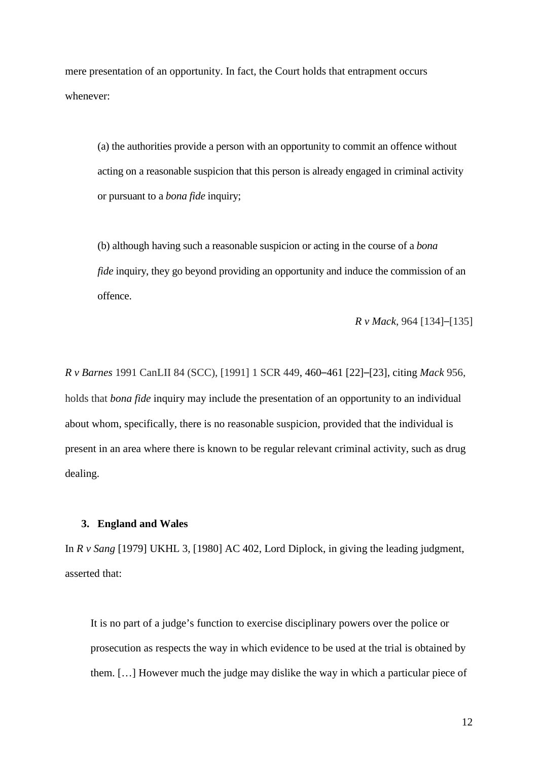mere presentation of an opportunity. In fact, the Court holds that entrapment occurs whenever:

(a) the authorities provide a person with an opportunity to commit an offence without acting on a reasonable suspicion that this person is already engaged in criminal activity or pursuant to a *bona fide* inquiry;

(b) although having such a reasonable suspicion or acting in the course of a *bona fide* inquiry, they go beyond providing an opportunity and induce the commission of an offence.

*[R v Mack](http://www.canlii.org/en/ca/scc/doc/1988/1988canlii24/1988canlii24.html)*, 964 [134]–[135]

*[R v Barnes](http://www.canlii.org/en/ca/scc/doc/1991/1991canlii84/1991canlii84.html)* 1991 CanLII 84 (SCC), [1991] 1 SCR 449, 460–461 [22]–[23], citing *[Mack](http://www.canlii.org/en/ca/scc/doc/1988/1988canlii24/1988canlii24.html)* 956, holds that *bona fide* inquiry may include the presentation of an opportunity to an individual about whom, specifically, there is no reasonable suspicion, provided that the individual is present in an area where there is known to be regular relevant criminal activity, such as drug dealing.

### **3. England and Wales**

In *R v Sang* [1979] UKHL 3, [1980] AC 402, Lord Diplock, in giving the leading judgment, asserted that:

It is no part of a judge's function to exercise disciplinary powers over the police or prosecution as respects the way in which evidence to be used at the trial is obtained by them. […] However much the judge may dislike the way in which a particular piece of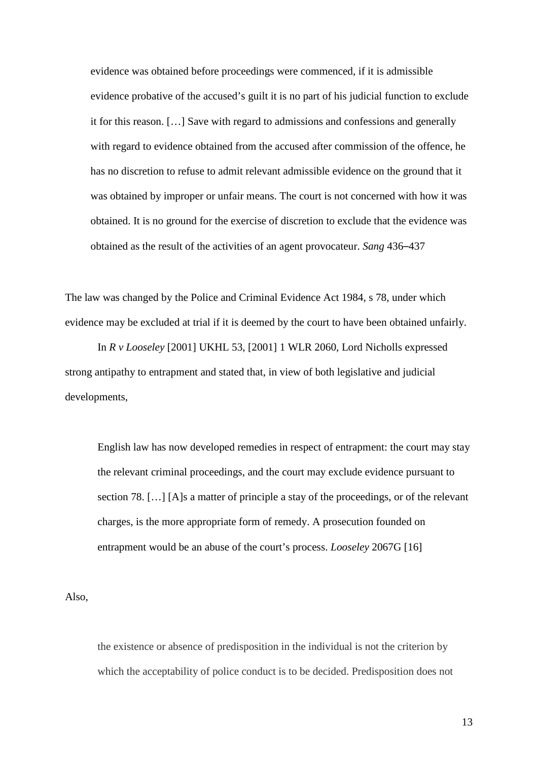evidence was obtained before proceedings were commenced, if it is admissible evidence probative of the accused's guilt it is no part of his judicial function to exclude it for this reason. […] Save with regard to admissions and confessions and generally with regard to evidence obtained from the accused after commission of the offence, he has no discretion to refuse to admit relevant admissible evidence on the ground that it was obtained by improper or unfair means. The court is not concerned with how it was obtained. It is no ground for the exercise of discretion to exclude that the evidence was obtained as the result of the activities of an agent provocateur. *Sang* 436–437

The law was changed by the Police and Criminal Evidence Act 1984, s 78, under which evidence may be excluded at trial if it is deemed by the court to have been obtained unfairly.

In *R v Looseley* [2001] UKHL 53, [2001] 1 WLR 2060, Lord Nicholls expressed strong antipathy to entrapment and stated that, in view of both legislative and judicial developments,

English law has now developed remedies in respect of entrapment: the court may stay the relevant criminal proceedings, and the court may exclude evidence pursuant to section 78. […] [A]s a matter of principle a stay of the proceedings, or of the relevant charges, is the more appropriate form of remedy. A prosecution founded on entrapment would be an abuse of the court's process. *Looseley* 2067G [16]

Also,

the existence or absence of predisposition in the individual is not the criterion by which the acceptability of police conduct is to be decided. Predisposition does not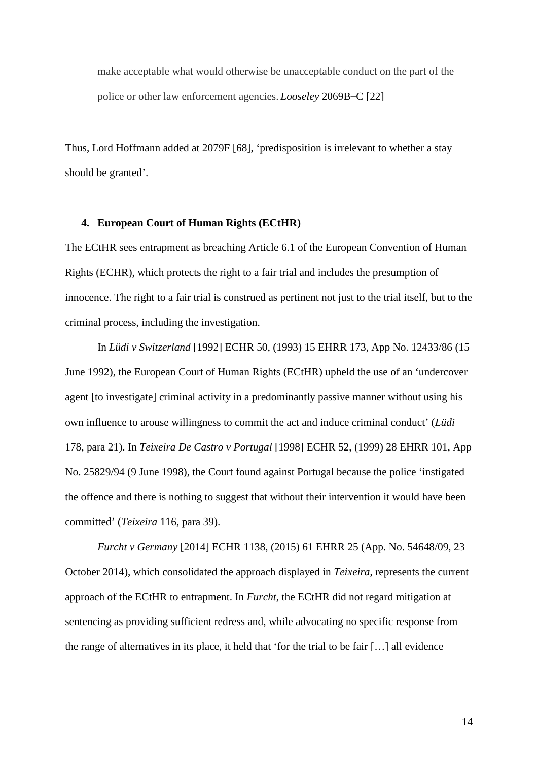make acceptable what would otherwise be unacceptable conduct on the part of the police or other law enforcement agencies. *Looseley* 2069B–C [22]

Thus, Lord Hoffmann added at 2079F [68], 'predisposition is irrelevant to whether a stay should be granted'.

#### **4. European Court of Human Rights (ECtHR)**

The ECtHR sees entrapment as breaching Article 6.1 of the European Convention of Human Rights (ECHR), which protects the right to a fair trial and includes the presumption of innocence. The right to a fair trial is construed as pertinent not just to the trial itself, but to the criminal process, including the investigation.

In *Lüdi v Switzerland* [1992] ECHR 50, (1993) 15 EHRR 173, App No. 12433/86 (15 June 1992), the European Court of Human Rights (ECtHR) upheld the use of an 'undercover agent [to investigate] criminal activity in a predominantly passive manner without using his own influence to arouse willingness to commit the act and induce criminal conduct' (*Lüdi* 178, para 21). In *Teixeira De Castro v Portugal* [1998] ECHR 52, (1999) 28 EHRR 101, App No. 25829/94 (9 June 1998), the Court found against Portugal because the police 'instigated the offence and there is nothing to suggest that without their intervention it would have been committed' (*Teixeira* 116, para 39).

*Furcht v Germany* [2014] ECHR 1138, (2015) 61 EHRR 25 (App. No. 54648/09, 23 October 2014), which consolidated the approach displayed in *Teixeira*, represents the current approach of the ECtHR to entrapment. In *Furcht*, the ECtHR did not regard mitigation at sentencing as providing sufficient redress and, while advocating no specific response from the range of alternatives in its place, it held that 'for the trial to be fair […] all evidence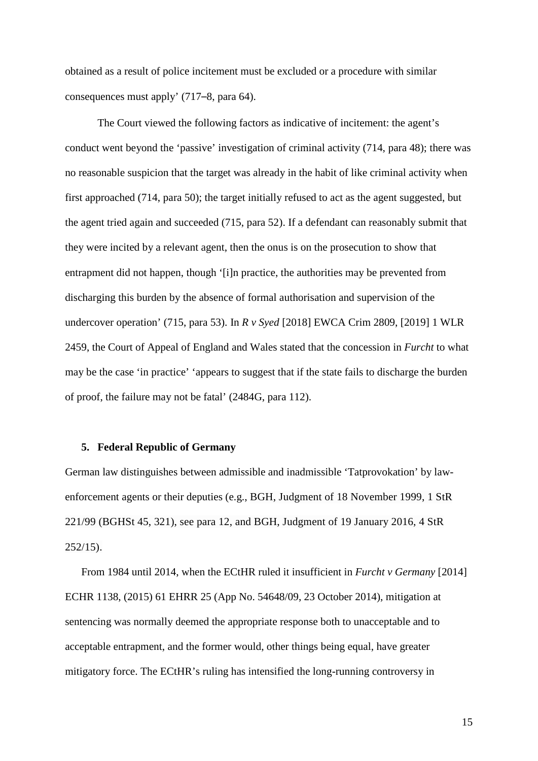obtained as a result of police incitement must be excluded or a procedure with similar consequences must apply' (717–8, para 64).

The Court viewed the following factors as indicative of incitement: the agent's conduct went beyond the 'passive' investigation of criminal activity (714, para 48); there was no reasonable suspicion that the target was already in the habit of like criminal activity when first approached (714, para 50); the target initially refused to act as the agent suggested, but the agent tried again and succeeded (715, para 52). If a defendant can reasonably submit that they were incited by a relevant agent, then the onus is on the prosecution to show that entrapment did not happen, though '[i]n practice, the authorities may be prevented from discharging this burden by the absence of formal authorisation and supervision of the undercover operation' (715, para 53). In *R v Syed* [2018] EWCA Crim 2809, [2019] 1 WLR 2459, the Court of Appeal of England and Wales stated that the concession in *Furcht* to what may be the case 'in practice' 'appears to suggest that if the state fails to discharge the burden of proof, the failure may not be fatal' (2484G, para 112).

#### **5. Federal Republic of Germany**

German law distinguishes between admissible and inadmissible 'Tatprovokation' by lawenforcement agents or their deputies (e.g., BGH, Judgment of 18 November 1999, 1 StR 221/99 (BGHSt 45, 321), see para 12, and BGH, Judgment of 19 January 2016, 4 StR  $252/15$ ).

From 1984 until 2014, when the ECtHR ruled it insufficient in *Furcht v Germany* [2014] ECHR 1138, (2015) 61 EHRR 25 (App No. 54648/09, 23 October 2014), mitigation at sentencing was normally deemed the appropriate response both to unacceptable and to acceptable entrapment, and the former would, other things being equal, have greater mitigatory force. The ECtHR's ruling has intensified the long-running controversy in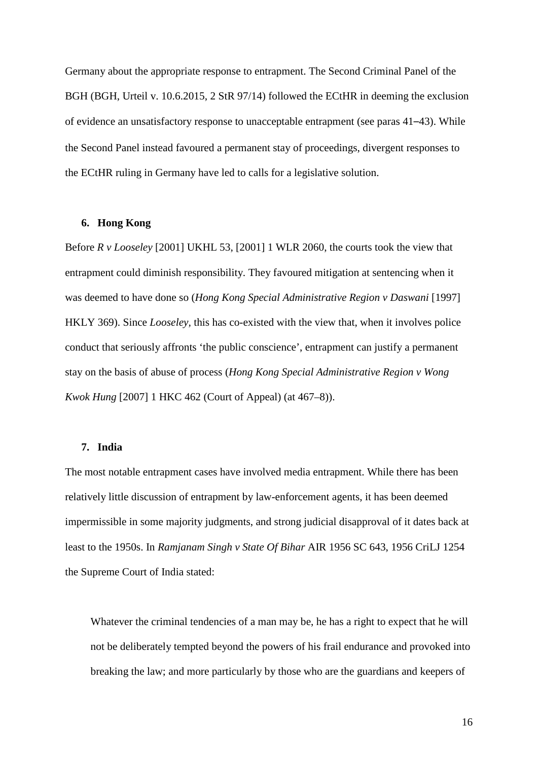Germany about the appropriate response to entrapment. The Second Criminal Panel of the BGH (BGH, Urteil v. 10.6.2015, 2 StR 97/14) followed the ECtHR in deeming the exclusion of evidence an unsatisfactory response to unacceptable entrapment (see paras 41–43). While the Second Panel instead favoured a permanent stay of proceedings, divergent responses to the ECtHR ruling in Germany have led to calls for a legislative solution.

## **6. Hong Kong**

Before *R v Looseley* [2001] UKHL 53, [2001] 1 WLR 2060, the courts took the view that entrapment could diminish responsibility. They favoured mitigation at sentencing when it was deemed to have done so (*Hong Kong Special Administrative Region v Daswani* [1997] HKLY 369). Since *Looseley,* this has co-existed with the view that, when it involves police conduct that seriously affronts 'the public conscience', entrapment can justify a permanent stay on the basis of abuse of process (*Hong Kong Special Administrative Region v Wong Kwok Hung* [2007] 1 HKC 462 (Court of Appeal) (at 467–8)).

## **7. India**

The most notable entrapment cases have involved media entrapment. While there has been relatively little discussion of entrapment by law-enforcement agents, it has been deemed impermissible in some majority judgments, and strong judicial disapproval of it dates back at least to the 1950s. In *Ramjanam Singh v State Of Bihar* AIR 1956 SC 643, 1956 CriLJ 1254 the Supreme Court of India stated:

Whatever the criminal tendencies of a man may be, he has a right to expect that he will not be deliberately tempted beyond the powers of his frail endurance and provoked into breaking the law; and more particularly by those who are the guardians and keepers of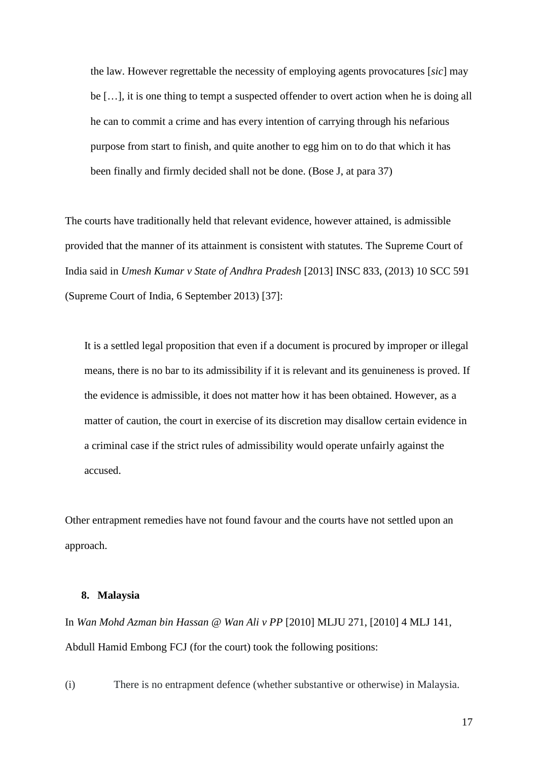the law. However regrettable the necessity of employing agents provocatures [*sic*] may be […], it is one thing to tempt a suspected offender to overt action when he is doing all he can to commit a crime and has every intention of carrying through his nefarious purpose from start to finish, and quite another to egg him on to do that which it has been finally and firmly decided shall not be done. (Bose J, at para 37)

The courts have traditionally held that relevant evidence, however attained, is admissible provided that the manner of its attainment is consistent with statutes. The Supreme Court of India said in *Umesh Kumar v State of Andhra Pradesh* [2013] INSC 833, (2013) 10 SCC 591 (Supreme Court of India, 6 September 2013) [37]:

It is a settled legal proposition that even if a document is procured by improper or illegal means, there is no bar to its admissibility if it is relevant and its genuineness is proved. If the evidence is admissible, it does not matter how it has been obtained. However, as a matter of caution, the court in exercise of its discretion may disallow certain evidence in a criminal case if the strict rules of admissibility would operate unfairly against the accused.

Other entrapment remedies have not found favour and the courts have not settled upon an approach.

#### **8. Malaysia**

In *Wan Mohd Azman bin Hassan @ Wan Ali v PP* [2010] MLJU 271, [2010] 4 MLJ 141, Abdull Hamid Embong FCJ (for the court) took the following positions:

(i) There is no entrapment defence (whether substantive or otherwise) in Malaysia.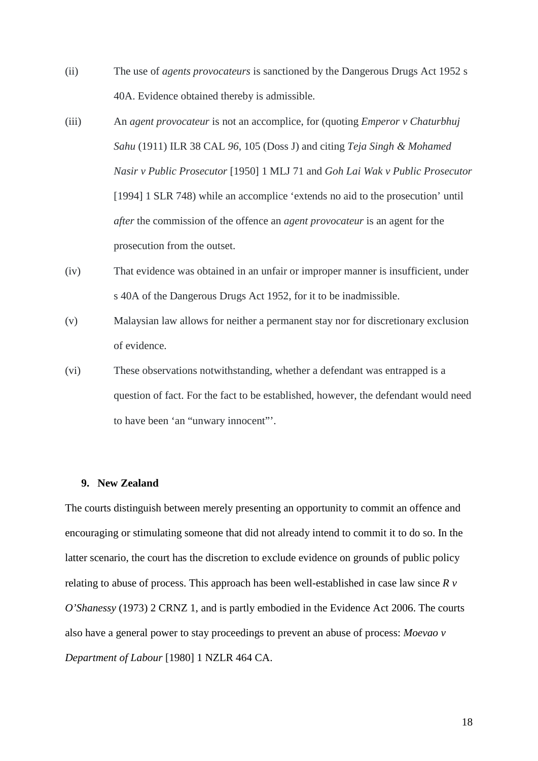- (ii) The use of *agents provocateurs* is sanctioned by the Dangerous Drugs Act 1952 s 40A. Evidence obtained thereby is admissible.
- (iii) An *agent provocateur* is not an accomplice, for (quoting *Emperor v Chaturbhuj Sahu* (1911) ILR 38 CAL *96*, 105 (Doss J) and citing *Teja Singh & Mohamed Nasir v Public Prosecutor* [1950] 1 MLJ 71 and *Goh Lai Wak v Public Prosecutor* [1994] 1 SLR 748) while an accomplice 'extends no aid to the prosecution' until *after* the commission of the offence an *agent provocateur* is an agent for the prosecution from the outset.
- (iv) That evidence was obtained in an unfair or improper manner is insufficient, under s 40A of the Dangerous Drugs Act 1952, for it to be inadmissible.
- (v) Malaysian law allows for neither a permanent stay nor for discretionary exclusion of evidence.
- (vi) These observations notwithstanding, whether a defendant was entrapped is a question of fact. For the fact to be established, however, the defendant would need to have been 'an "unwary innocent"'.

#### **9. New Zealand**

The courts distinguish between merely presenting an opportunity to commit an offence and encouraging or stimulating someone that did not already intend to commit it to do so. In the latter scenario, the court has the discretion to exclude evidence on grounds of public policy relating to abuse of process. This approach has been well-established in case law since *R v O'Shanessy* (1973) 2 CRNZ 1, and is partly embodied in the Evidence Act 2006. The courts also have a general power to stay proceedings to prevent an abuse of process: *Moevao v Department of Labour* [1980] 1 NZLR 464 CA.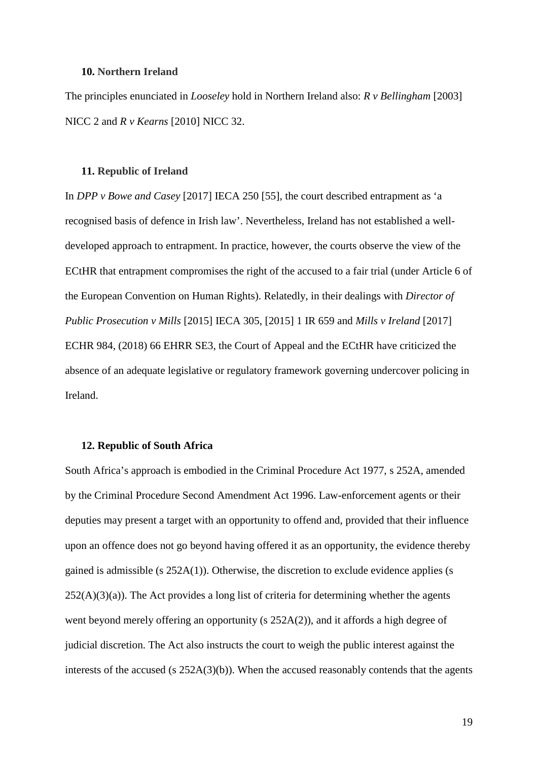#### **10. Northern Ireland**

The principles enunciated in *Looseley* hold in Northern Ireland also: *R v Bellingham* [2003] NICC 2 and *R v Kearns* [2010] NICC 32.

#### **11. Republic of Ireland**

In *DPP v Bowe and Casey* [2017] IECA 250 [55], the court described entrapment as 'a recognised basis of defence in Irish law'. Nevertheless, Ireland has not established a welldeveloped approach to entrapment. In practice, however, the courts observe the view of the ECtHR that entrapment compromises the right of the accused to a fair trial (under Article 6 of the European Convention on Human Rights). Relatedly, in their dealings with *Director of Public Prosecution v Mills* [2015] IECA 305, [2015] 1 IR 659 and *Mills v Ireland* [2017] ECHR 984, (2018) 66 EHRR SE3, the Court of Appeal and the ECtHR have criticized the absence of an adequate legislative or regulatory framework governing undercover policing in Ireland.

#### **12. Republic of South Africa**

South Africa's approach is embodied in the Criminal Procedure Act 1977, s 252A, amended by the Criminal Procedure Second Amendment Act 1996. Law-enforcement agents or their deputies may present a target with an opportunity to offend and, provided that their influence upon an offence does not go beyond having offered it as an opportunity, the evidence thereby gained is admissible (s 252A(1)). Otherwise, the discretion to exclude evidence applies (s  $252(A)(3)(a)$ ). The Act provides a long list of criteria for determining whether the agents went beyond merely offering an opportunity (s 252A(2)), and it affords a high degree of judicial discretion. The Act also instructs the court to weigh the public interest against the interests of the accused (s  $252A(3)(b)$ ). When the accused reasonably contends that the agents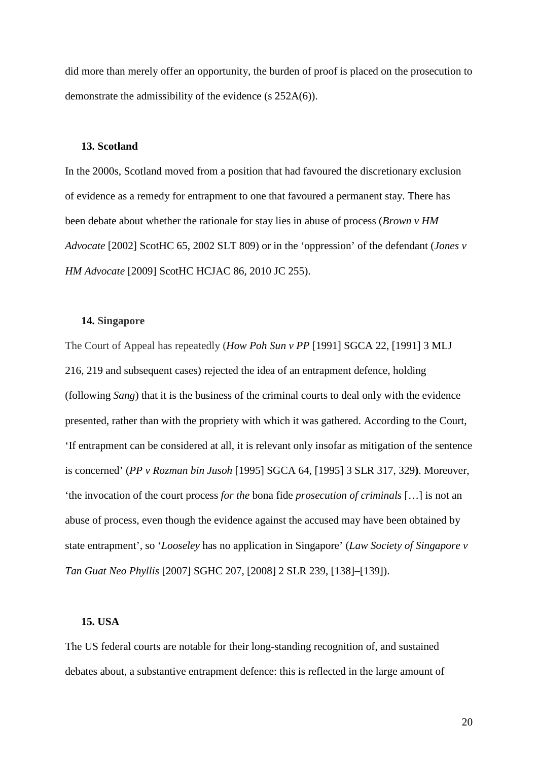did more than merely offer an opportunity, the burden of proof is placed on the prosecution to demonstrate the admissibility of the evidence (s 252A(6)).

#### **13. Scotland**

In the 2000s, Scotland moved from a position that had favoured the discretionary exclusion of evidence as a remedy for entrapment to one that favoured a permanent stay. There has been debate about whether the rationale for stay lies in abuse of process (*Brown v HM Advocate* [2002] ScotHC 65, 2002 SLT 809) or in the 'oppression' of the defendant (*Jones v HM Advocate* [2009] ScotHC HCJAC 86, 2010 JC 255).

## **14. Singapore**

The Court of Appeal has repeatedly (*How Poh Sun v PP* [1991] SGCA 22, [1991] 3 MLJ 216, 219 and subsequent cases) rejected the idea of an entrapment defence, holding (following *Sang*) that it is the business of the criminal courts to deal only with the evidence presented, rather than with the propriety with which it was gathered. According to the Court, 'If entrapment can be considered at all, it is relevant only insofar as mitigation of the sentence is concerned' (*PP v Rozman bin Jusoh* [1995] SGCA 64, [1995] 3 SLR 317, 329**)**. Moreover, 'the invocation of the court process *for the* bona fide *prosecution of criminals* […] is not an abuse of process, even though the evidence against the accused may have been obtained by state entrapment', so '*Looseley* has no application in Singapore' (*Law Society of Singapore v Tan Guat Neo Phyllis* [2007] SGHC 207, [\[2008\] 2 SLR 239,](https://1-next-westlaw-com.liverpool.idm.oclc.org/Link/Document/FullText?findType=Y&pubNum=4854&cite=%5b2008%5d+2SLRUK239&originatingDoc=I409e7969d56e11df9b8c850332338889&refType=IC&originationContext=document&transitionType=DocumentItem&contextData=(sc.Search)) [138]–[139]).

#### **15. USA**

The US federal courts are notable for their long-standing recognition of, and sustained debates about, a substantive entrapment defence: this is reflected in the large amount of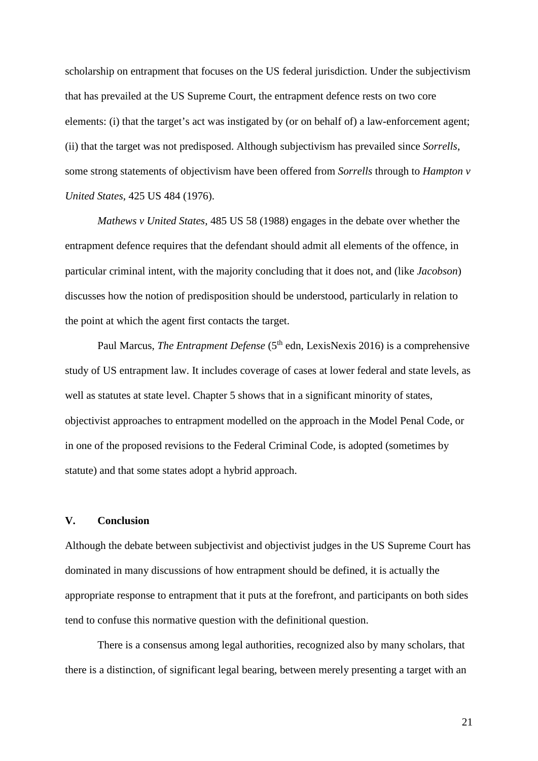scholarship on entrapment that focuses on the US federal jurisdiction. Under the subjectivism that has prevailed at the US Supreme Court, the entrapment defence rests on two core elements: (i) that the target's act was instigated by (or on behalf of) a law-enforcement agent; (ii) that the target was not predisposed. Although subjectivism has prevailed since *Sorrells*, some strong statements of objectivism have been offered from *Sorrells* through to *Hampton v United States*, 425 US 484 (1976).

*Mathews v United States*, 485 US 58 (1988) engages in the debate over whether the entrapment defence requires that the defendant should admit all elements of the offence, in particular criminal intent, with the majority concluding that it does not, and (like *Jacobson*) discusses how the notion of predisposition should be understood, particularly in relation to the point at which the agent first contacts the target.

Paul Marcus, *The Entrapment Defense* (5<sup>th</sup> edn, LexisNexis 2016) is a comprehensive study of US entrapment law. It includes coverage of cases at lower federal and state levels, as well as statutes at state level. Chapter 5 shows that in a significant minority of states, objectivist approaches to entrapment modelled on the approach in the Model Penal Code, or in one of the proposed revisions to the Federal Criminal Code, is adopted (sometimes by statute) and that some states adopt a hybrid approach.

### **V. Conclusion**

Although the debate between subjectivist and objectivist judges in the US Supreme Court has dominated in many discussions of how entrapment should be defined, it is actually the appropriate response to entrapment that it puts at the forefront, and participants on both sides tend to confuse this normative question with the definitional question.

There is a consensus among legal authorities, recognized also by many scholars, that there is a distinction, of significant legal bearing, between merely presenting a target with an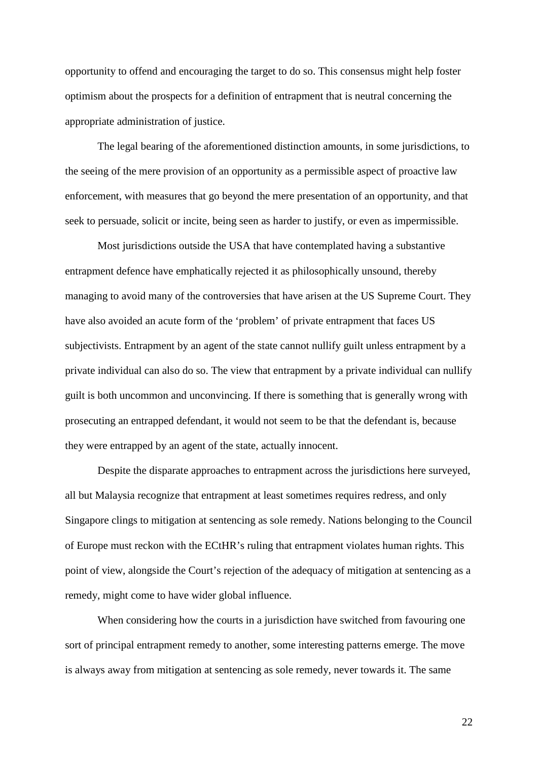opportunity to offend and encouraging the target to do so. This consensus might help foster optimism about the prospects for a definition of entrapment that is neutral concerning the appropriate administration of justice.

The legal bearing of the aforementioned distinction amounts, in some jurisdictions, to the seeing of the mere provision of an opportunity as a permissible aspect of proactive law enforcement, with measures that go beyond the mere presentation of an opportunity, and that seek to persuade, solicit or incite, being seen as harder to justify, or even as impermissible.

Most jurisdictions outside the USA that have contemplated having a substantive entrapment defence have emphatically rejected it as philosophically unsound, thereby managing to avoid many of the controversies that have arisen at the US Supreme Court. They have also avoided an acute form of the 'problem' of private entrapment that faces US subjectivists. Entrapment by an agent of the state cannot nullify guilt unless entrapment by a private individual can also do so. The view that entrapment by a private individual can nullify guilt is both uncommon and unconvincing. If there is something that is generally wrong with prosecuting an entrapped defendant, it would not seem to be that the defendant is, because they were entrapped by an agent of the state, actually innocent.

Despite the disparate approaches to entrapment across the jurisdictions here surveyed, all but Malaysia recognize that entrapment at least sometimes requires redress, and only Singapore clings to mitigation at sentencing as sole remedy. Nations belonging to the Council of Europe must reckon with the ECtHR's ruling that entrapment violates human rights. This point of view, alongside the Court's rejection of the adequacy of mitigation at sentencing as a remedy, might come to have wider global influence.

When considering how the courts in a jurisdiction have switched from favouring one sort of principal entrapment remedy to another, some interesting patterns emerge. The move is always away from mitigation at sentencing as sole remedy, never towards it. The same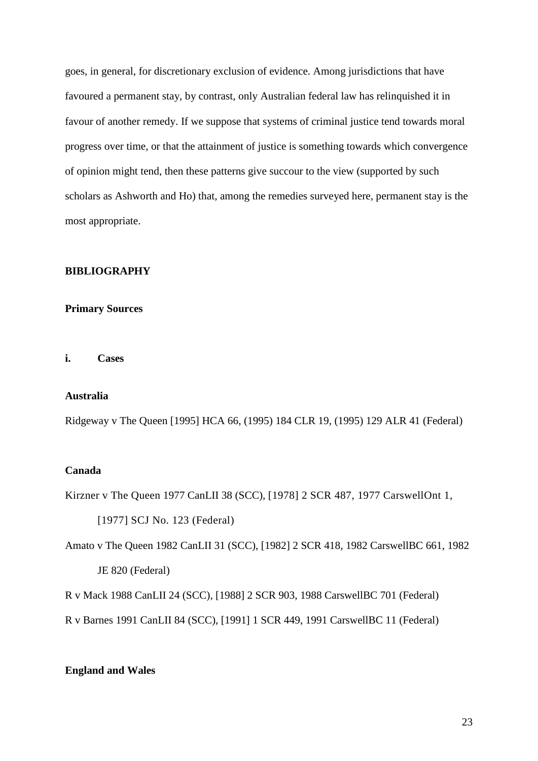goes, in general, for discretionary exclusion of evidence. Among jurisdictions that have favoured a permanent stay, by contrast, only Australian federal law has relinquished it in favour of another remedy. If we suppose that systems of criminal justice tend towards moral progress over time, or that the attainment of justice is something towards which convergence of opinion might tend, then these patterns give succour to the view (supported by such scholars as Ashworth and Ho) that, among the remedies surveyed here, permanent stay is the most appropriate.

#### **BIBLIOGRAPHY**

#### **Primary Sources**

**i. Cases**

#### **Australia**

Ridgeway v The Queen [1995] HCA 66, (1995) 184 CLR 19, (1995) 129 ALR 41 (Federal)

## **Canada**

Kirzner v The Queen [1977 CanLII 38 \(SCC\),](https://www.canlii.org/en/ca/scc/doc/1977/1977canlii38/1977canlii38.html) [1978] 2 SCR 487, 1977 CarswellOnt 1,

[1977] SCJ No. 123 (Federal)

Amato v The Queen 1982 CanLII 31 (SCC), [1982] 2 SCR 418, 1982 CarswellBC 661, 1982 JE 820 (Federal)

[R v Mack](http://www.canlii.org/en/ca/scc/doc/1988/1988canlii24/1988canlii24.html) 1988 CanLII 24 (SCC), [1988] 2 SCR 903, 1988 CarswellBC 701 (Federal)

R v Barnes 1991 CanLII 84 (SCC), [1991] 1 SCR 449, 1991 CarswellBC 11 (Federal)

## **England and Wales**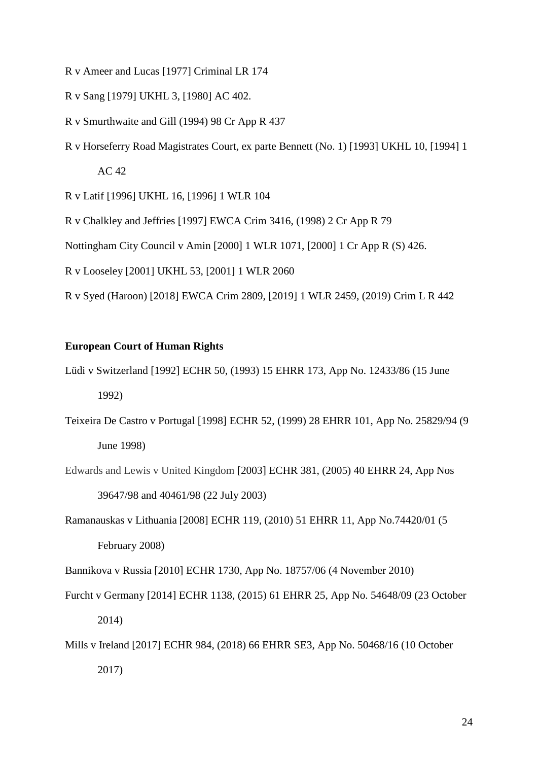- R v Ameer and Lucas [1977] Criminal LR 174
- R v Sang [1979] UKHL 3, [1980] AC 402.
- R v Smurthwaite and Gill (1994) 98 Cr App R 437
- R v Horseferry Road Magistrates Court, ex parte Bennett (No. 1) [1993] UKHL 10, [1994] 1 AC 42

R v Latif [1996] UKHL 16, [1996] 1 WLR 104

R v Chalkley and Jeffries [1997] EWCA Crim 3416, (1998) 2 Cr App R 79

Nottingham City Council v Amin [2000] 1 WLR 1071, [2000] 1 Cr App R (S) 426.

R v Looseley [2001] UKHL 53, [2001] 1 WLR 2060

R v Syed (Haroon) [2018] EWCA Crim 2809, [2019] 1 WLR 2459, (2019) Crim L R 442

### **European Court of Human Rights**

Lüdi v Switzerland [1992] ECHR 50, (1993) 15 EHRR 173, App No. 12433/86 (15 June 1992)

- Teixeira De Castro v Portugal [1998] ECHR 52, (1999) 28 EHRR 101, App No. 25829/94 (9 June 1998)
- Edwards and Lewis v United Kingdom [2003] ECHR 381, (2005) 40 EHRR 24, App Nos 39647/98 and 40461/98 (22 July 2003)
- Ramanauskas v Lithuania [2008] ECHR 119, (2010) 51 EHRR 11, App No.74420/01 (5 February 2008)

Bannikova v Russia [2010] ECHR 1730, App No. 18757/06 (4 November 2010)

- Furcht v Germany [2014] ECHR 1138, (2015) 61 EHRR 25, App No. 54648/09 (23 October 2014)
- Mills v Ireland [2017] ECHR 984, (2018) 66 EHRR SE3, App No. 50468/16 (10 October 2017)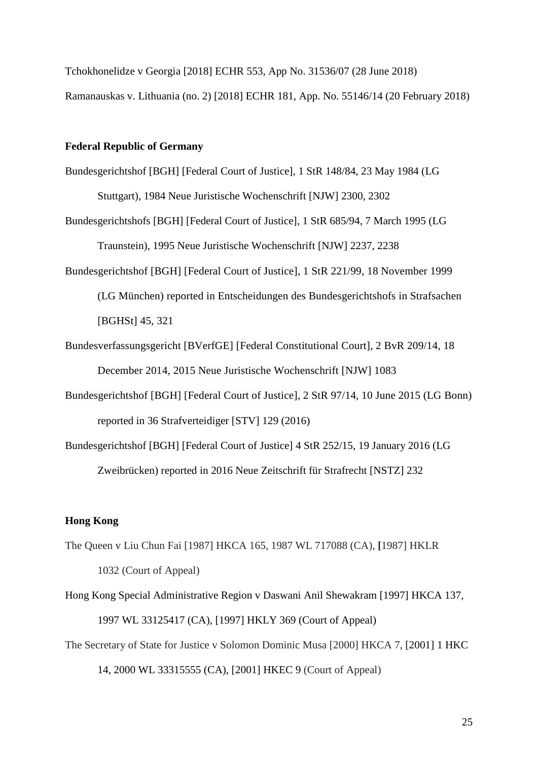Tchokhonelidze v Georgia [2018] ECHR 553, App No. 31536/07 (28 June 2018)

Ramanauskas v. Lithuania (no. 2) [2018] ECHR 181, App. No. 55146/14 (20 February 2018)

#### **Federal Republic of Germany**

- Bundesgerichtshof [BGH] [Federal Court of Justice], 1 StR 148/84, 23 May 1984 (LG Stuttgart), 1984 Neue Juristische Wochenschrift [NJW] 2300, 2302
- Bundesgerichtshofs [BGH] [Federal Court of Justice], 1 StR 685/94, 7 March 1995 (LG Traunstein), 1995 Neue Juristische Wochenschrift [NJW] 2237, 2238
- Bundesgerichtshof [BGH] [Federal Court of Justice], 1 StR 221/99, 18 November 1999 (LG München) reported in Entscheidungen des Bundesgerichtshofs in Strafsachen [BGHSt] 45, 321
- Bundesverfassungsgericht [BVerfGE] [Federal Constitutional Court], 2 BvR 209/14, 18 December 2014, 2015 Neue Juristische Wochenschrift [NJW] 1083
- Bundesgerichtshof [BGH] [Federal Court of Justice], 2 StR 97/14, 10 June 2015 (LG Bonn) reported in 36 Strafverteidiger [STV] 129 (2016)
- Bundesgerichtshof [BGH] [Federal Court of Justice] 4 StR 252/15, 19 January 2016 (LG Zweibrücken) reported in 2016 Neue Zeitschrift für Strafrecht [NSTZ] 232

## **Hong Kong**

- The Queen v Liu Chun Fai [1987] HKCA 165, 1987 WL 717088 (CA), **[**1987] HKLR 1032 (Court of Appeal)
- Hong Kong Special Administrative Region v Daswani Anil Shewakram [1997] HKCA 137, 1997 WL 33125417 (CA), [1997] HKLY 369 (Court of Appeal)
- The Secretary of State for Justice v Solomon Dominic Musa [2000] HKCA 7, [2001] 1 HKC

14, 2000 WL 33315555 (CA), [2001] HKEC 9 (Court of Appeal)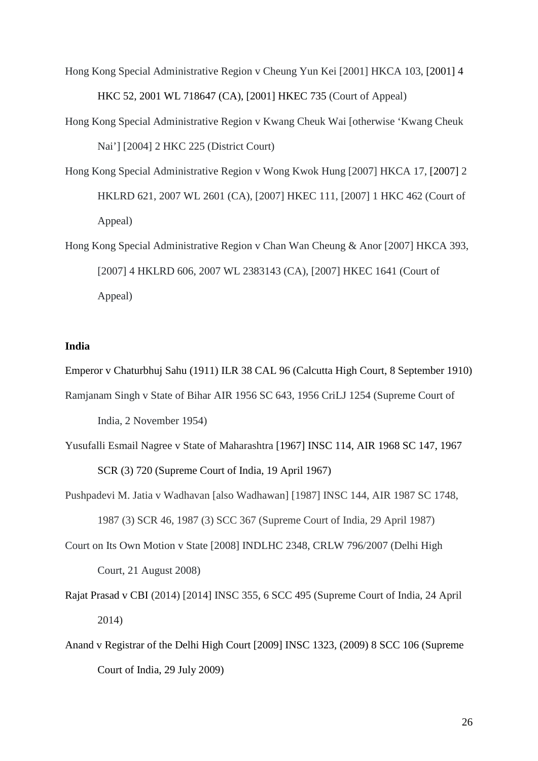- Hong Kong Special Administrative Region v Cheung Yun Kei [2001] HKCA 103, [2001] 4 HKC 52, 2001 WL 718647 (CA), [2001] HKEC 735 (Court of Appeal)
- Hong Kong Special Administrative Region v Kwang Cheuk Wai [otherwise 'Kwang Cheuk Nai'] [2004] 2 HKC 225 (District Court)
- Hong Kong Special Administrative Region v Wong Kwok Hung [2007] HKCA 17, [2007] 2 HKLRD 621, 2007 WL 2601 (CA), [2007] HKEC 111, [2007] 1 HKC 462 (Court of Appeal)
- Hong Kong Special Administrative Region v Chan Wan Cheung & Anor [2007] HKCA 393, [2007] 4 HKLRD 606, 2007 WL 2383143 (CA), [2007] HKEC 1641 (Court of Appeal)

#### **India**

Emperor v Chaturbhuj Sahu (1911) ILR 38 CAL 96 (Calcutta High Court, 8 September 1910)

- Ramjanam Singh v State of Bihar AIR 1956 SC 643, 1956 CriLJ 1254 (Supreme Court of India, 2 November 1954)
- Yusufalli Esmail Nagree v State of Maharashtra [1967] INSC 114, AIR 1968 SC 147, 1967 SCR (3) 720 (Supreme Court of India, 19 April 1967)
- Pushpadevi M. Jatia v Wadhavan [also Wadhawan] [1987] INSC 144, AIR 1987 SC 1748, 1987 (3) SCR 46, 1987 (3) SCC 367 (Supreme Court of India, 29 April 1987)
- Court on Its Own Motion v State [2008] INDLHC 2348, CRLW 796/2007 (Delhi High Court, 21 August 2008)
- Rajat Prasad v CBI (2014) [2014] INSC 355, 6 SCC 495 (Supreme Court of India, 24 April 2014)
- Anand v Registrar of the Delhi High Court [2009] INSC 1323, (2009) 8 SCC 106 (Supreme Court of India, 29 July 2009)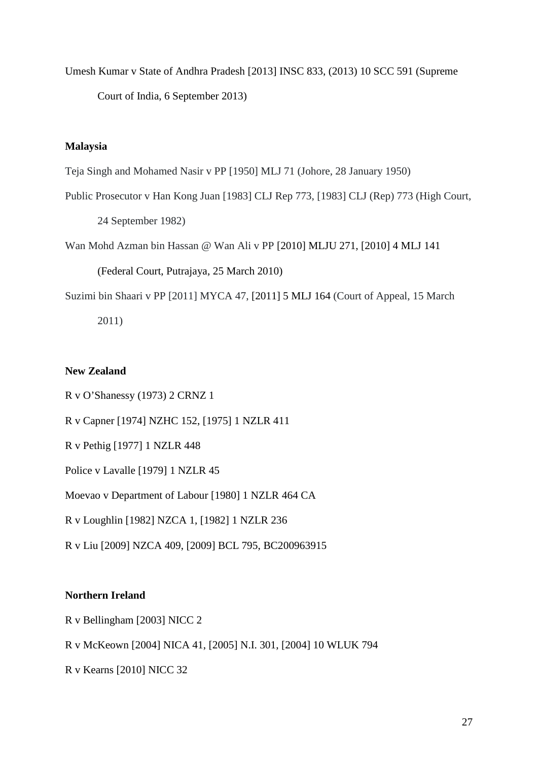Umesh Kumar v State of Andhra Pradesh [2013] INSC 833, (2013) 10 SCC 591 (Supreme Court of India, 6 September 2013)

## **Malaysia**

Teja Singh and Mohamed Nasir v PP [1950] MLJ 71 (Johore, 28 January 1950)

Public Prosecutor v Han Kong Juan [1983] CLJ Rep 773, [1983] CLJ (Rep) 773 (High Court,

24 September 1982)

Wan Mohd Azman bin Hassan @ Wan Ali v PP [2010] MLJU 271, [2010] 4 MLJ 141

(Federal Court, Putrajaya, 25 March 2010)

Suzimi bin Shaari v PP [2011] MYCA 47, [2011] 5 MLJ 164 (Court of Appeal, 15 March 2011)

### **New Zealand**

R v O'Shanessy (1973) 2 CRNZ 1

R v Capner [1974] NZHC 152, [1975] 1 NZLR 411

R v Pethig [1977] 1 NZLR 448

Police v Lavalle [1979] 1 NZLR 45

Moevao v Department of Labour [1980] 1 NZLR 464 CA

R v Loughlin [1982] NZCA 1, [1982] 1 NZLR 236

R v Liu [2009] NZCA 409, [2009] BCL 795, BC200963915

### **Northern Ireland**

- R v Bellingham [2003] NICC 2
- R v McKeown [2004] NICA 41, [2005] N.I. 301, [2004] 10 WLUK 794

R v Kearns [2010] NICC 32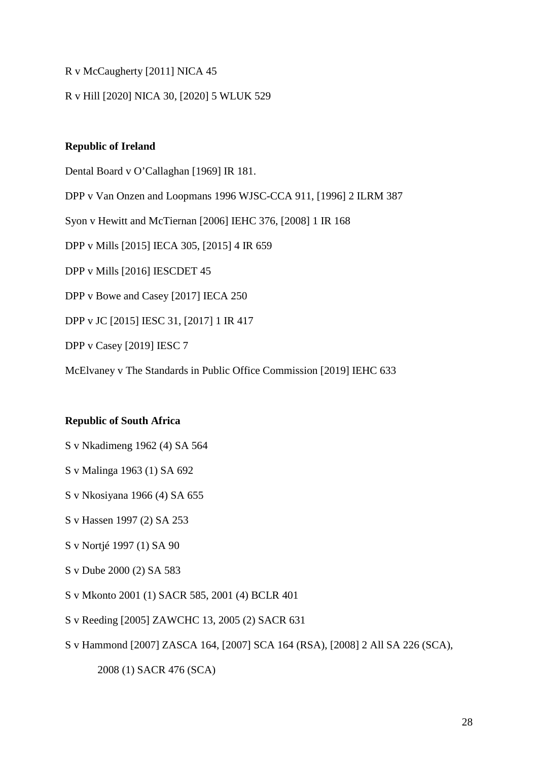## R v McCaugherty [2011] NICA 45

## R v Hill [2020] NICA 30, [2020] 5 WLUK 529

### **Republic of Ireland**

Dental Board v O'Callaghan [1969] IR 181.

DPP v Van Onzen and Loopmans 1996 WJSC-CCA 911, [1996] 2 ILRM 387

Syon v Hewitt and McTiernan [2006] IEHC 376, [2008] 1 IR 168

DPP v Mills [2015] IECA 305, [2015] 4 IR 659

DPP v Mills [2016] IESCDET 45

DPP v Bowe and Casey [2017] IECA 250

DPP v JC [2015] IESC 31, [2017] 1 IR 417

DPP v Casey [2019] IESC 7

McElvaney v The Standards in Public Office Commission [2019] IEHC 633

### **Republic of South Africa**

- S v Nkadimeng 1962 (4) SA 564
- S v Malinga 1963 (1) SA 692
- S v Nkosiyana 1966 (4) SA 655
- S v Hassen 1997 (2) SA 253
- S v Nortjé 1997 (1) SA 90
- S v Dube 2000 (2) SA 583
- S v Mkonto 2001 (1) SACR 585, 2001 (4) BCLR 401
- S v Reeding [2005] ZAWCHC 13, 2005 (2) SACR 631
- S v Hammond [2007] ZASCA 164, [2007] SCA 164 (RSA), [2008] 2 All SA 226 (SCA),

2008 (1) SACR 476 (SCA)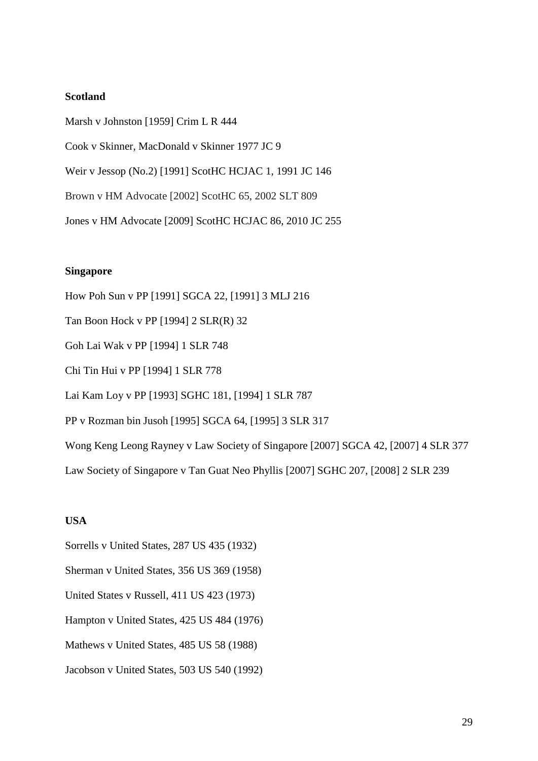## **Scotland**

Marsh v Johnston [1959] Crim L R 444 Cook v Skinner, MacDonald v Skinner 1977 JC 9 Weir v Jessop (No.2) [1991] ScotHC HCJAC 1, 1991 JC 146 Brown v HM Advocate [2002] ScotHC 65, 2002 SLT 809 Jones v HM Advocate [2009] ScotHC HCJAC 86, 2010 JC 255

### **Singapore**

How Poh Sun v PP [1991] SGCA 22, [1991] 3 MLJ 216 Tan Boon Hock v PP [1994] 2 SLR(R) 32 Goh Lai Wak v PP [1994] 1 SLR 748 Chi Tin Hui v PP [1994] 1 SLR 778 Lai Kam Loy v PP [1993] SGHC 181, [1994] 1 SLR 787 PP v Rozman bin Jusoh [1995] SGCA 64, [1995] 3 SLR 317 Wong Keng Leong Rayney v Law Society of Singapore [2007] SGCA 42, [2007] 4 SLR 377 Law Society of Singapore v Tan Guat Neo Phyllis [2007] SGHC 207, [2008] 2 SLR 239

### **USA**

- Sorrells v United States, 287 US 435 (1932)
- Sherman v United States, 356 US 369 (1958)
- United States v Russell, 411 US 423 (1973)
- Hampton v United States, 425 US 484 (1976)
- Mathews v United States, 485 US 58 (1988)
- Jacobson v United States, 503 US 540 (1992)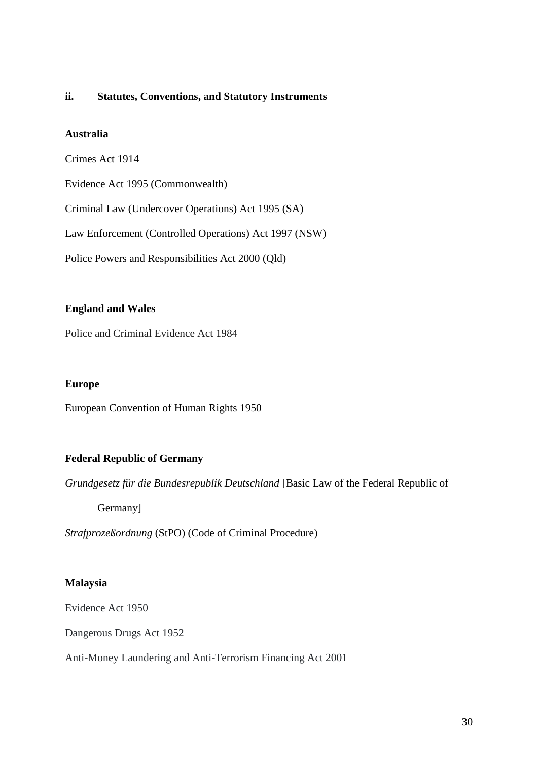### **ii. Statutes, Conventions, and Statutory Instruments**

## **Australia**

Crimes Act 1914

Evidence Act 1995 (Commonwealth)

Criminal Law (Undercover Operations) Act 1995 (SA)

Law Enforcement (Controlled Operations) Act 1997 (NSW)

Police Powers and Responsibilities Act 2000 (Qld)

### **England and Wales**

[Police and Criminal Evidence Act 1984](https://www.legislation.gov.uk/ukpga/1984/60/section/78)

#### **Europe**

European Convention of Human Rights 1950

## **Federal Republic of Germany**

*Grundgesetz für die Bundesrepublik Deutschland* [Basic Law of the Federal Republic of

Germany]

*Strafprozeßordnung* (StPO) (Code of Criminal Procedure)

### **Malaysia**

Evidence Act 1950

Dangerous Drugs Act 1952

Anti-Money Laundering and Anti-Terrorism Financing Act 2001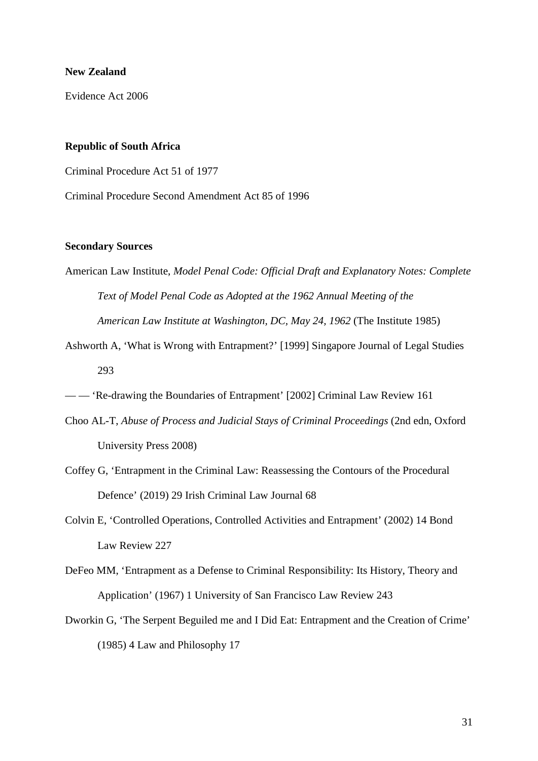#### **New Zealand**

Evidence Act 2006

#### **Republic of South Africa**

Criminal Procedure Act 51 of 1977

Criminal Procedure Second Amendment Act 85 of 1996

#### **Secondary Sources**

- American Law Institute, *Model Penal Code: Official Draft and Explanatory Notes: Complete Text of Model Penal Code as Adopted at the 1962 Annual Meeting of the American Law Institute at Washington, DC, May 24, 1962* (The Institute 1985)
- Ashworth A, 'What is Wrong with Entrapment?' [1999] Singapore Journal of Legal Studies 293
- — 'Re-drawing the Boundaries of Entrapment' [2002] Criminal Law Review 161
- Choo AL-T, *Abuse of Process and Judicial Stays of Criminal Proceedings* (2nd edn, Oxford University Press 2008)
- Coffey G, 'Entrapment in the Criminal Law: Reassessing the Contours of the Procedural Defence' (2019) 29 Irish Criminal Law Journal 68
- Colvin E, 'Controlled Operations, Controlled Activities and Entrapment' (2002) 14 Bond Law Review 227
- DeFeo MM, 'Entrapment as a Defense to Criminal Responsibility: Its History, Theory and Application' (1967) 1 University of San Francisco Law Review 243
- Dworkin G, 'The Serpent Beguiled me and I Did Eat: Entrapment and the Creation of Crime' (1985) 4 Law and Philosophy 17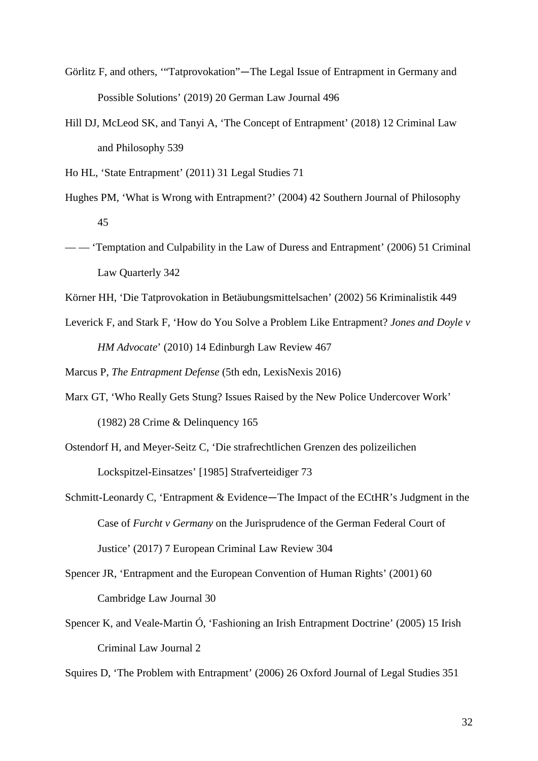- Görlitz F, and others, '"Tatprovokation"—The Legal Issue of Entrapment in Germany and Possible Solutions' (2019) 20 German Law Journal 496
- Hill DJ, McLeod SK, and Tanyi A, 'The Concept of Entrapment' (2018) 12 Criminal Law and Philosophy 539

Ho HL, 'State Entrapment' (2011) 31 Legal Studies 71

- Hughes PM, 'What is Wrong with Entrapment?' (2004) 42 Southern Journal of Philosophy 45
- - 'Temptation and Culpability in the Law of Duress and Entrapment' (2006) 51 Criminal Law Quarterly 342
- Körner HH, 'Die Tatprovokation in Betäubungsmittelsachen' (2002) 56 Kriminalistik 449
- Leverick F, and Stark F, 'How do You Solve a Problem Like Entrapment? *Jones and Doyle v HM Advocate*' (2010) 14 Edinburgh Law Review 467

Marcus P, *The Entrapment Defense* (5th edn, LexisNexis 2016)

- Marx GT, 'Who Really Gets Stung? Issues Raised by the New Police Undercover Work' (1982) 28 Crime & Delinquency 165
- Ostendorf H, and Meyer-Seitz C, 'Die strafrechtlichen Grenzen des polizeilichen Lockspitzel-Einsatzes' [1985] Strafverteidiger 73
- Schmitt-Leonardy C, 'Entrapment & Evidence—The Impact of the ECtHR's Judgment in the Case of *Furcht v Germany* on the Jurisprudence of the German Federal Court of Justice' (2017) 7 European Criminal Law Review 304
- Spencer JR, 'Entrapment and the European Convention of Human Rights' (2001) 60 Cambridge Law Journal 30
- Spencer K, and Veale-Martin Ó, 'Fashioning an Irish Entrapment Doctrine' (2005) 15 Irish Criminal Law Journal 2

Squires D, 'The Problem with Entrapment' (2006) 26 Oxford Journal of Legal Studies 351